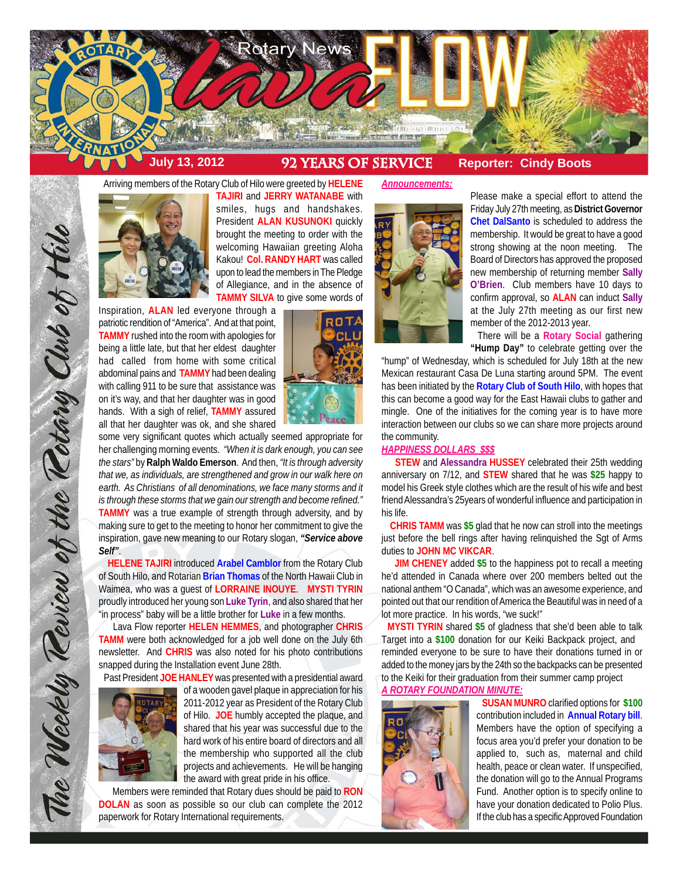

Arriving members of the Rotary Club of Hilo were greeted by **HELENE**



**TAJIRI** and **JERRY WATANABE** with smiles, hugs and handshakes. President **ALAN KUSUNOKI** quickly brought the meeting to order with the welcoming Hawaiian greeting Aloha Kakou! **Col. RANDY HART** was called upon to lead the members in The Pledge of Allegiance, and in the absence of **TAMMY SILVA** to give some words of

Inspiration, **ALAN** led everyone through a patriotic rendition of "America". And at that point, **TAMMY** rushed into the room with apologies for being a little late, but that her eldest daughter had called from home with some critical abdominal pains and **TAMMY** had been dealing with calling 911 to be sure that assistance was on it's way, and that her daughter was in good hands. With a sigh of relief, **TAMMY** assured all that her daughter was ok, and she shared



some very significant quotes which actually seemed appropriate for her challenging morning events. *"When it is dark enough, you can see the stars"* by **Ralph Waldo Emerson**. And then, *"It is through adversity that we, as individuals, are strengthened and grow in our walk here on earth. As Christians of all denominations, we face many storms and it is through these storms that we gain our strength and become refined."* **TAMMY** was a true example of strength through adversity, and by making sure to get to the meeting to honor her commitment to give the inspiration, gave new meaning to our Rotary slogan, *"Service above Self"*.

 **HELENE TAJIRI** introduced **Arabel Camblor** from the Rotary Club of South Hilo, and Rotarian **Brian Thomas** of the North Hawaii Club in Waimea, who was a guest of **LORRAINE INOUYE**. **MYSTI TYRIN** proudly introduced her young son **Luke Tyrin**, and also shared that her "in process" baby will be a little brother for **Luke** in a few months.

 Lava Flow reporter **HELEN HEMMES**, and photographer **CHRIS TAMM** were both acknowledged for a job well done on the July 6th newsletter. And **CHRIS** was also noted for his photo contributions snapped during the Installation event June 28th.

Past President **JOE HANLEY** was presented with a presidential award



The Weekly Teview of the Tetary Club of Hilo

of a wooden gavel plaque in appreciation for his 2011-2012 year as President of the Rotary Club of Hilo. **JOE** humbly accepted the plaque, and shared that his year was successful due to the hard work of his entire board of directors and all the membership who supported all the club projects and achievements. He will be hanging the award with great pride in his office.

 Members were reminded that Rotary dues should be paid to **RON DOLAN** as soon as possible so our club can complete the 2012 paperwork for Rotary International requirements.

#### *Announcements:*



Please make a special effort to attend the Friday July 27th meeting, as **District Governor Chet DalSanto** is scheduled to address the membership. It would be great to have a good strong showing at the noon meeting. The Board of Directors has approved the proposed new membership of returning member **Sally O'Brien**. Club members have 10 days to confirm approval, so **ALAN** can induct **Sally** at the July 27th meeting as our first new member of the 2012-2013 year.

 There will be a **Rotary Social** gathering **"Hump Day"** to celebrate getting over the

"hump" of Wednesday, which is scheduled for July 18th at the new Mexican restaurant Casa De Luna starting around 5PM. The event has been initiated by the **Rotary Club of South Hilo**, with hopes that this can become a good way for the East Hawaii clubs to gather and mingle. One of the initiatives for the coming year is to have more interaction between our clubs so we can share more projects around the community.

#### *HAPPINESS DOLLARS \$\$\$*

 **STEW** and **Alessandra HUSSEY** celebrated their 25th wedding anniversary on 7/12, and **STEW** shared that he was **\$25** happy to model his Greek style clothes which are the result of his wife and best friend Alessandra's 25years of wonderful influence and participation in his life.

 **CHRIS TAMM** was **\$5** glad that he now can stroll into the meetings just before the bell rings after having relinquished the Sgt of Arms duties to **JOHN MC VIKCAR**.

 **JIM CHENEY** added **\$5** to the happiness pot to recall a meeting he'd attended in Canada where over 200 members belted out the national anthem "O Canada", which was an awesome experience, and pointed out that our rendition of America the Beautiful was in need of a lot more practice. In his words, "we suck!"

 **MYSTI TYRIN** shared **\$5** of gladness that she'd been able to talk Target into a **\$100** donation for our Keiki Backpack project, and reminded everyone to be sure to have their donations turned in or added to the money jars by the 24th so the backpacks can be presented to the Keiki for their graduation from their summer camp project

# *A ROTARY FOUNDATION MINUTE:*



 **SUSAN MUNRO** clarified options for **\$100** contribution included in **Annual Rotary bill**. Members have the option of specifying a focus area you'd prefer your donation to be applied to, such as, maternal and child health, peace or clean water. If unspecified, the donation will go to the Annual Programs Fund. Another option is to specify online to have your donation dedicated to Polio Plus. If the club has a specific Approved Foundation